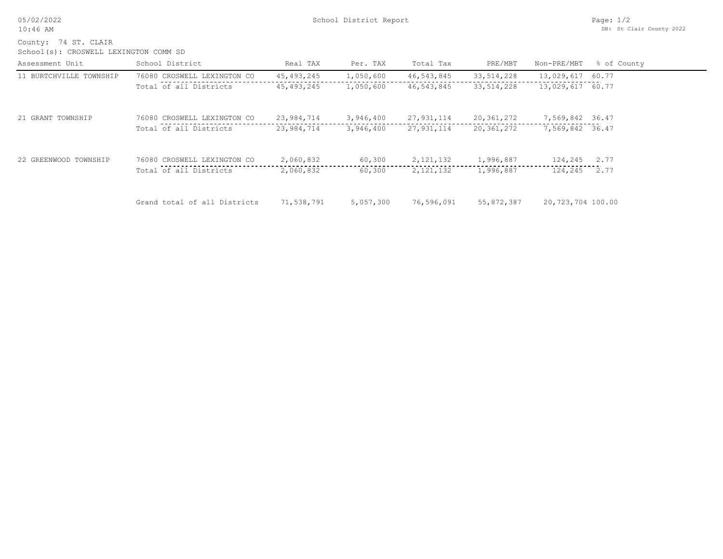05/02/2022 10:46 AM

County: 74 ST. CLAIR

School(s): CROSWELL LEXINGTON COMM SD

| Assessment Unit         | School District              | Real TAX     | Per. TAX  | Total Tax    | PRE/MBT      | Non-PRE/MBT       | % of County |
|-------------------------|------------------------------|--------------|-----------|--------------|--------------|-------------------|-------------|
| 11 BURTCHVILLE TOWNSHIP | 76080 CROSWELL LEXINGTON CO  | 45, 493, 245 | 1,050,600 | 46, 543, 845 | 33, 514, 228 | 13,029,617        | 60.77       |
|                         | Total of all Districts       | 45, 493, 245 | 1,050,600 | 46,543,845   | 33, 514, 228 | 13,029,617 60.77  |             |
| 21 GRANT TOWNSHIP       | 76080 CROSWELL LEXINGTON CO  | 23,984,714   | 3,946,400 | 27, 931, 114 | 20,361,272   | 7,569,842 36.47   |             |
|                         | Total of all Districts       | 23,984,714   | 3,946,400 | 27,931,114   | 20,361,272   | 7,569,842 36.47   |             |
| 22 GREENWOOD TOWNSHIP   | 76080 CROSWELL LEXINGTON CO  | 2,060,832    | 60,300    | 2, 121, 132  | 1,996,887    | 124,245           | 2.77        |
|                         | Total of all Districts       | 2,060,832    | 60,300    | 2, 121, 132  | 1,996,887    | 124,245           | 2.77        |
|                         | Grand total of all Districts | 71,538,791   | 5,057,300 | 76,596,091   | 55,872,387   | 20,723,704 100.00 |             |